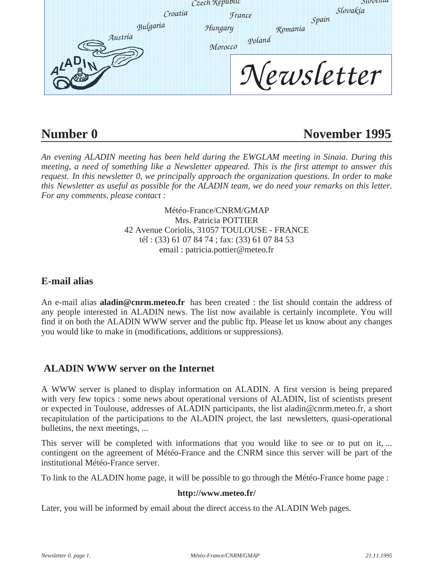| Czech Republic |                      | OUVV             |
|----------------|----------------------|------------------|
| Croatia        | <b><i>France</i></b> | Slovakia         |
| Bulgaria       | Hungary              | Spain<br>Romania |
| Austria        | Poland<br>Могоссо    |                  |
|                | ewsletter            |                  |

# **Number 0 November 1995**

*An evening ALADIN meeting has been held during the EWGLAM meeting in Sinaia. During this meeting, a need of something like a Newsletter appeared. This is the first attempt to answer this request. In this newsletter 0, we principally approach the organization questions. In order to make this Newsletter as useful as possible for the ALADIN team, we do need your remarks on this letter. For any comments, please contact :* 

> Météo-France/CNRM/GMAP Mrs. Patricia POTTIER 42 Avenue Coriolis, 31057 TOULOUSE - FRANCE tél : (33) 61 07 84 74 ; fax: (33) 61 07 84 53 email : patricia.pottier@meteo.fr

# **E-mail alias**

An e-mail alias **aladin@cnrm.meteo.fr** has been created : the list should contain the address of any people interested in ALADIN news. The list now available is certainly incomplete. You will find it on both the ALADIN WWW server and the public ftp. Please let us know about any changes you would like to make in (modifications, additions or suppressions).

# **ALADIN WWW server on the Internet**

A WWW server is planed to display information on ALADIN. A first version is being prepared with very few topics : some news about operational versions of ALADIN, list of scientists present or expected in Toulouse, addresses of ALADIN participants, the list aladin@cnrm.meteo.fr, a short recapitulation of the participations to the ALADIN project, the last newsletters, quasi-operational bulletins, the next meetings, ...

This server will be completed with informations that you would like to see or to put on it, ... contingent on the agreement of Météo-France and the CNRM since this server will be part of the institutional Météo-France server.

To link to the ALADIN home page, it will be possible to go through the Météo-France home page :

#### **http://www.meteo.fr/**

Later, you will be informed by email about the direct access to the ALADIN Web pages.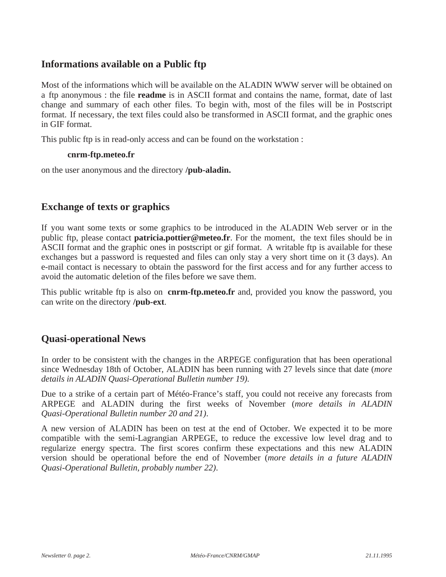## **Informations available on a Public ftp**

Most of the informations which will be available on the ALADIN WWW server will be obtained on a ftp anonymous : the file **readme** is in ASCII format and contains the name, format, date of last change and summary of each other files. To begin with, most of the files will be in Postscript format. If necessary, the text files could also be transformed in ASCII format, and the graphic ones in GIF format.

This public ftp is in read-only access and can be found on the workstation :

#### **cnrm-ftp.meteo.fr**

on the user anonymous and the directory **/pub-aladin.**

### **Exchange of texts or graphics**

If you want some texts or some graphics to be introduced in the ALADIN Web server or in the public ftp, please contact **patricia.pottier@meteo.fr**. For the moment, the text files should be in ASCII format and the graphic ones in postscript or gif format. A writable ftp is available for these exchanges but a password is requested and files can only stay a very short time on it (3 days). An e-mail contact is necessary to obtain the password for the first access and for any further access to avoid the automatic deletion of the files before we save them.

This public writable ftp is also on **cnrm-ftp.meteo.fr** and, provided you know the password, you can write on the directory **/pub-ext**.

#### **Quasi-operational News**

In order to be consistent with the changes in the ARPEGE configuration that has been operational since Wednesday 18th of October, ALADIN has been running with 27 levels since that date (*more details in ALADIN Quasi-Operational Bulletin number 19).*

Due to a strike of a certain part of Météo-France's staff, you could not receive any forecasts from ARPEGE and ALADIN during the first weeks of November (*more details in ALADIN Quasi-Operational Bulletin number 20 and 21)*.

A new version of ALADIN has been on test at the end of October. We expected it to be more compatible with the semi-Lagrangian ARPEGE, to reduce the excessive low level drag and to regularize energy spectra. The first scores confirm these expectations and this new ALADIN version should be operational before the end of November (*more details in a future ALADIN Quasi-Operational Bulletin, probably number 22)*.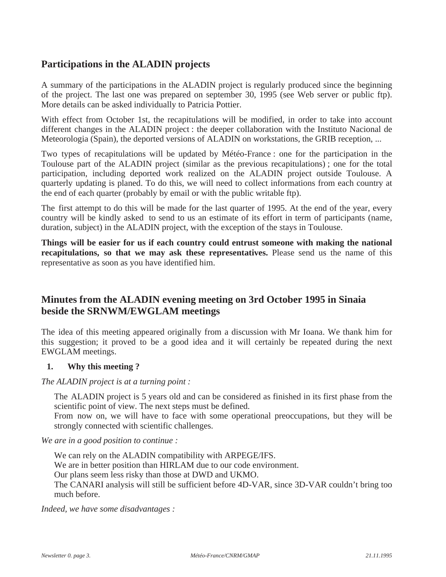# **Participations in the ALADIN projects**

A summary of the participations in the ALADIN project is regularly produced since the beginning of the project. The last one was prepared on september 30, 1995 (see Web server or public ftp). More details can be asked individually to Patricia Pottier.

With effect from October 1st, the recapitulations will be modified, in order to take into account different changes in the ALADIN project : the deeper collaboration with the Instituto Nacional de Meteorologia (Spain), the deported versions of ALADIN on workstations, the GRIB reception, ...

Two types of recapitulations will be updated by Météo-France : one for the participation in the Toulouse part of the ALADIN project (similar as the previous recapitulations) ; one for the total participation, including deported work realized on the ALADIN project outside Toulouse. A quarterly updating is planed. To do this, we will need to collect informations from each country at the end of each quarter (probably by email or with the public writable ftp).

The first attempt to do this will be made for the last quarter of 1995. At the end of the year, every country will be kindly asked to send to us an estimate of its effort in term of participants (name, duration, subject) in the ALADIN project, with the exception of the stays in Toulouse.

**Things will be easier for us if each country could entrust someone with making the national recapitulations, so that we may ask these representatives.** Please send us the name of this representative as soon as you have identified him.

# **Minutes from the ALADIN evening meeting on 3rd October 1995 in Sinaia beside the SRNWM/EWGLAM meetings**

The idea of this meeting appeared originally from a discussion with Mr Ioana. We thank him for this suggestion; it proved to be a good idea and it will certainly be repeated during the next EWGLAM meetings.

#### **1. Why this meeting ?**

*The ALADIN project is at a turning point :*

The ALADIN project is 5 years old and can be considered as finished in its first phase from the scientific point of view. The next steps must be defined.

From now on, we will have to face with some operational preoccupations, but they will be strongly connected with scientific challenges.

*We are in a good position to continue :*

We can rely on the ALADIN compatibility with ARPEGE/IFS. We are in better position than HIRLAM due to our code environment. Our plans seem less risky than those at DWD and UKMO. The CANARI analysis will still be sufficient before 4D-VAR, since 3D-VAR couldn't bring too much before.

*Indeed, we have some disadvantages :*